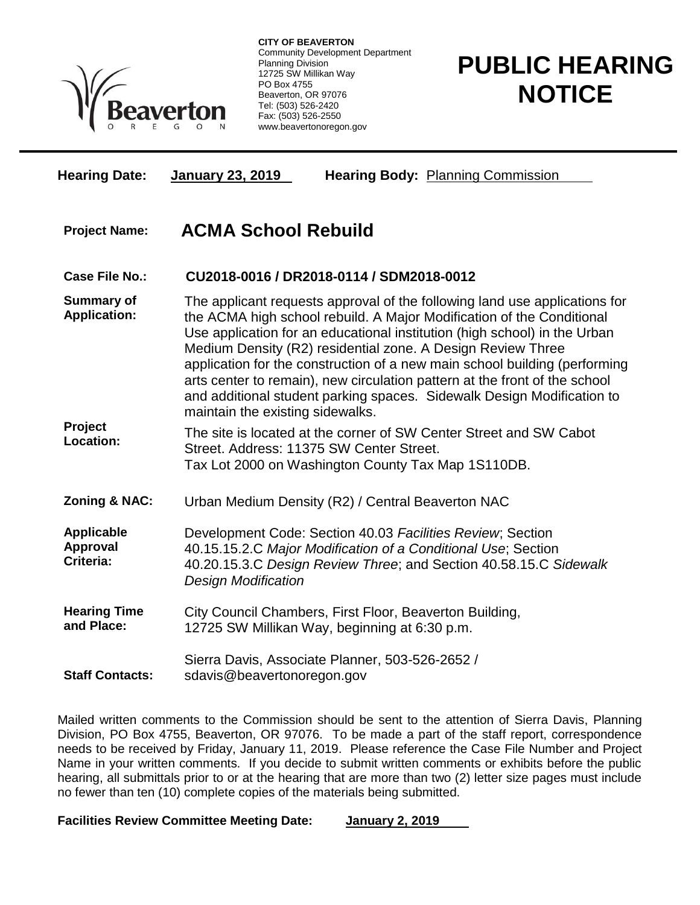

**CITY OF BEAVERTON** Community Development Department Planning Division 12725 SW Millikan Way PO Box 4755 Beaverton, OR 97076 Tel: (503) 526-2420 Fax: (503) 526-2550 www.beavertonoregon.gov

## **PUBLIC HEARING NOTICE**

| <b>Hearing Date:</b>                              | <b>January 23, 2019</b><br><b>Hearing Body: Planning Commission</b>                                                                                                                                                                                                                                                                                                                                                                                                                                                                                                       |
|---------------------------------------------------|---------------------------------------------------------------------------------------------------------------------------------------------------------------------------------------------------------------------------------------------------------------------------------------------------------------------------------------------------------------------------------------------------------------------------------------------------------------------------------------------------------------------------------------------------------------------------|
| <b>Project Name:</b>                              | <b>ACMA School Rebuild</b>                                                                                                                                                                                                                                                                                                                                                                                                                                                                                                                                                |
| <b>Case File No.:</b>                             | CU2018-0016 / DR2018-0114 / SDM2018-0012                                                                                                                                                                                                                                                                                                                                                                                                                                                                                                                                  |
| <b>Summary of</b><br><b>Application:</b>          | The applicant requests approval of the following land use applications for<br>the ACMA high school rebuild. A Major Modification of the Conditional<br>Use application for an educational institution (high school) in the Urban<br>Medium Density (R2) residential zone. A Design Review Three<br>application for the construction of a new main school building (performing<br>arts center to remain), new circulation pattern at the front of the school<br>and additional student parking spaces. Sidewalk Design Modification to<br>maintain the existing sidewalks. |
| Project<br>Location:                              | The site is located at the corner of SW Center Street and SW Cabot<br>Street. Address: 11375 SW Center Street.<br>Tax Lot 2000 on Washington County Tax Map 1S110DB.                                                                                                                                                                                                                                                                                                                                                                                                      |
| Zoning & NAC:                                     | Urban Medium Density (R2) / Central Beaverton NAC                                                                                                                                                                                                                                                                                                                                                                                                                                                                                                                         |
| <b>Applicable</b><br><b>Approval</b><br>Criteria: | Development Code: Section 40.03 Facilities Review; Section<br>40.15.15.2.C Major Modification of a Conditional Use; Section<br>40.20.15.3.C Design Review Three; and Section 40.58.15.C Sidewalk<br><b>Design Modification</b>                                                                                                                                                                                                                                                                                                                                            |
| <b>Hearing Time</b><br>and Place:                 | City Council Chambers, First Floor, Beaverton Building,<br>12725 SW Millikan Way, beginning at 6:30 p.m.                                                                                                                                                                                                                                                                                                                                                                                                                                                                  |
| <b>Staff Contacts:</b>                            | Sierra Davis, Associate Planner, 503-526-2652 /<br>sdavis@beavertonoregon.gov                                                                                                                                                                                                                                                                                                                                                                                                                                                                                             |

Mailed written comments to the Commission should be sent to the attention of Sierra Davis, Planning Division, PO Box 4755, Beaverton, OR 97076. To be made a part of the staff report, correspondence needs to be received by Friday, January 11, 2019. Please reference the Case File Number and Project Name in your written comments. If you decide to submit written comments or exhibits before the public hearing, all submittals prior to or at the hearing that are more than two (2) letter size pages must include no fewer than ten (10) complete copies of the materials being submitted.

**Facilities Review Committee Meeting Date: January 2, 2019**